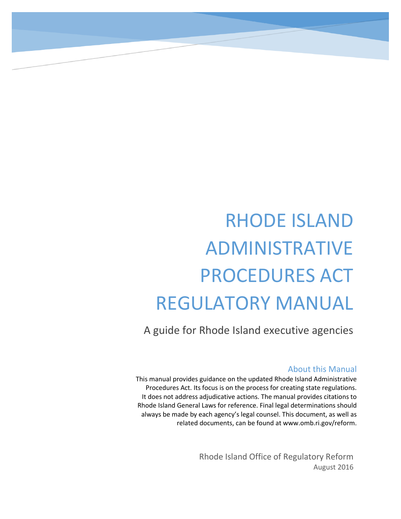# RHODE ISLAND ADMINISTRATIVE PROCEDURES ACT REGULATORY MANUAL

A guide for Rhode Island executive agencies

### About this Manual

This manual provides guidance on the updated Rhode Island Administrative Procedures Act. Its focus is on the process for creating state regulations. It does not address adjudicative actions. The manual provides citations to Rhode Island General Laws for reference. Final legal determinations should always be made by each agency's legal counsel. This document, as well as related documents, can be found at www.omb.ri.gov/reform.

> Rhode Island Office of Regulatory Reform August 2016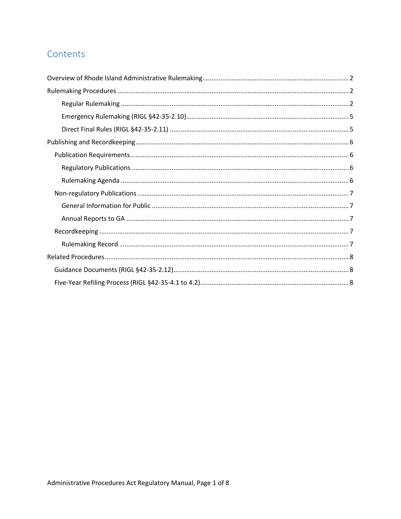### Contents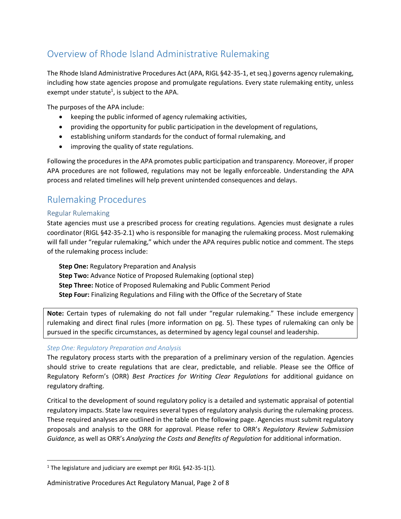## <span id="page-2-0"></span>Overview of Rhode Island Administrative Rulemaking

The Rhode Island Administrative Procedures Act (APA, RIGL §42-35-1, et seq.) governs agency rulemaking, including how state agencies propose and promulgate regulations. Every state rulemaking entity, unless exempt under statute<sup>1</sup>, is subject to the APA.

The purposes of the APA include:

- keeping the public informed of agency rulemaking activities,
- providing the opportunity for public participation in the development of regulations,
- establishing uniform standards for the conduct of formal rulemaking, and
- improving the quality of state regulations.

Following the procedures in the APA promotes public participation and transparency. Moreover, if proper APA procedures are not followed, regulations may not be legally enforceable. Understanding the APA process and related timelines will help prevent unintended consequences and delays.

### <span id="page-2-1"></span>Rulemaking Procedures

### <span id="page-2-2"></span>Regular Rulemaking

 $\overline{\phantom{a}}$ 

State agencies must use a prescribed process for creating regulations. Agencies must designate a rules coordinator (RIGL §42-35-2.1) who is responsible for managing the rulemaking process. Most rulemaking will fall under "regular rulemaking," which under the APA requires public notice and comment. The steps of the rulemaking process include:

**Step One:** Regulatory Preparation and Analysis **Step Two:** Advance Notice of Proposed Rulemaking (optional step) **Step Three:** Notice of Proposed Rulemaking and Public Comment Period **Step Four:** Finalizing Regulations and Filing with the Office of the Secretary of State

**Note:** Certain types of rulemaking do not fall under "regular rulemaking." These include emergency rulemaking and direct final rules (more information on pg. 5). These types of rulemaking can only be pursued in the specific circumstances, as determined by agency legal counsel and leadership.

### *Step One: Regulatory Preparation and Analysis*

The regulatory process starts with the preparation of a preliminary version of the regulation. Agencies should strive to create regulations that are clear, predictable, and reliable. Please see the Office of Regulatory Reform's (ORR) *Best Practices for Writing Clear Regulations* for additional guidance on regulatory drafting.

Critical to the development of sound regulatory policy is a detailed and systematic appraisal of potential regulatory impacts. State law requires several types of regulatory analysis during the rulemaking process. These required analyses are outlined in the table on the following page. Agencies must submit regulatory proposals and analysis to the ORR for approval. Please refer to ORR's *Regulatory Review Submission Guidance,* as well as ORR's *Analyzing the Costs and Benefits of Regulation* for additional information.

### Administrative Procedures Act Regulatory Manual, Page 2 of 8

<sup>&</sup>lt;sup>1</sup> The legislature and judiciary are exempt per RIGL  $§$ 42-35-1(1).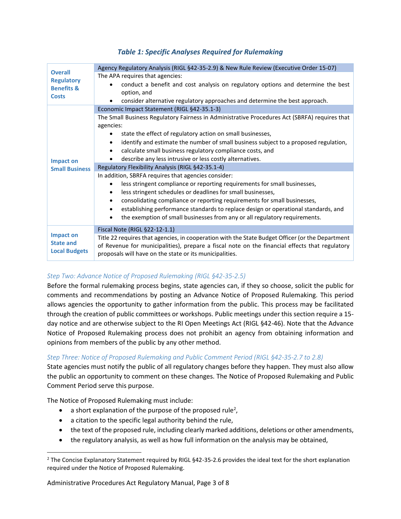### *Table 1: Specific Analyses Required for Rulemaking*

| <b>Overall</b><br><b>Regulatory</b><br><b>Benefits &amp;</b><br><b>Costs</b> | Agency Regulatory Analysis (RIGL §42-35-2.9) & New Rule Review (Executive Order 15-07)                                                                                                                                                                        |
|------------------------------------------------------------------------------|---------------------------------------------------------------------------------------------------------------------------------------------------------------------------------------------------------------------------------------------------------------|
|                                                                              | The APA requires that agencies:                                                                                                                                                                                                                               |
|                                                                              | conduct a benefit and cost analysis on regulatory options and determine the best<br>option, and                                                                                                                                                               |
|                                                                              | consider alternative regulatory approaches and determine the best approach.<br>٠                                                                                                                                                                              |
| <b>Impact on</b><br><b>Small Business</b>                                    | Economic Impact Statement (RIGL §42-35.1-3)                                                                                                                                                                                                                   |
|                                                                              | The Small Business Regulatory Fairness in Administrative Procedures Act (SBRFA) requires that                                                                                                                                                                 |
|                                                                              | agencies:                                                                                                                                                                                                                                                     |
|                                                                              | state the effect of regulatory action on small businesses,                                                                                                                                                                                                    |
|                                                                              | identify and estimate the number of small business subject to a proposed regulation,<br>$\bullet$                                                                                                                                                             |
|                                                                              | calculate small business regulatory compliance costs, and                                                                                                                                                                                                     |
|                                                                              | describe any less intrusive or less costly alternatives.                                                                                                                                                                                                      |
|                                                                              | Regulatory Flexibility Analysis (RIGL §42-35.1-4)                                                                                                                                                                                                             |
|                                                                              | In addition, SBRFA requires that agencies consider:                                                                                                                                                                                                           |
|                                                                              | less stringent compliance or reporting requirements for small businesses,                                                                                                                                                                                     |
|                                                                              | less stringent schedules or deadlines for small businesses,<br>$\bullet$                                                                                                                                                                                      |
|                                                                              | consolidating compliance or reporting requirements for small businesses,<br>$\bullet$                                                                                                                                                                         |
|                                                                              | establishing performance standards to replace design or operational standards, and<br>$\bullet$                                                                                                                                                               |
|                                                                              | the exemption of small businesses from any or all regulatory requirements.                                                                                                                                                                                    |
| Impact on<br><b>State and</b><br><b>Local Budgets</b>                        | Fiscal Note (RIGL §22-12-1.1)                                                                                                                                                                                                                                 |
|                                                                              | Title 22 requires that agencies, in cooperation with the State Budget Officer (or the Department<br>of Revenue for municipalities), prepare a fiscal note on the financial effects that regulatory<br>proposals will have on the state or its municipalities. |
|                                                                              |                                                                                                                                                                                                                                                               |

### *Step Two: Advance Notice of Proposed Rulemaking (RIGL §42-35-2.5)*

Before the formal rulemaking process begins, state agencies can, if they so choose, solicit the public for comments and recommendations by posting an Advance Notice of Proposed Rulemaking. This period allows agencies the opportunity to gather information from the public. This process may be facilitated through the creation of public committees or workshops. Public meetings under this section require a 15 day notice and are otherwise subject to the RI Open Meetings Act (RIGL §42-46). Note that the Advance Notice of Proposed Rulemaking process does not prohibit an agency from obtaining information and opinions from members of the public by any other method.

#### *Step Three: Notice of Proposed Rulemaking and Public Comment Period (RIGL §42-35-2.7 to 2.8)*

State agencies must notify the public of all regulatory changes before they happen. They must also allow the public an opportunity to comment on these changes. The Notice of Proposed Rulemaking and Public Comment Period serve this purpose.

The Notice of Proposed Rulemaking must include:

l

- a short explanation of the purpose of the proposed rule<sup>2</sup>,
- a citation to the specific legal authority behind the rule,
- the text of the proposed rule, including clearly marked additions, deletions or other amendments,
- the regulatory analysis, as well as how full information on the analysis may be obtained,

Administrative Procedures Act Regulatory Manual, Page 3 of 8

 $2$  The Concise Explanatory Statement required by RIGL §42-35-2.6 provides the ideal text for the short explanation required under the Notice of Proposed Rulemaking.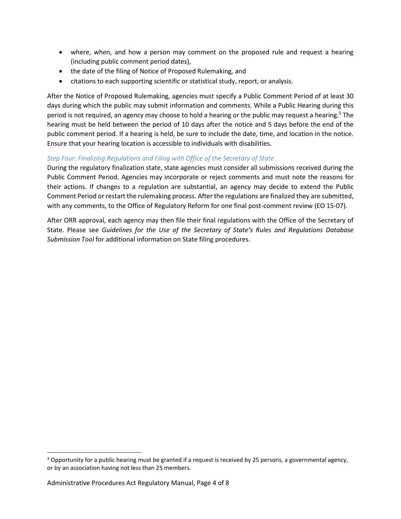- where, when, and how a person may comment on the proposed rule and request a hearing (including public comment period dates),
- the date of the filing of Notice of Proposed Rulemaking, and
- citations to each supporting scientific or statistical study, report, or analysis.

After the Notice of Proposed Rulemaking, agencies must specify a Public Comment Period of at least 30 days during which the public may submit information and comments. While a Public Hearing during this period is not required, an agency may choose to hold a hearing or the public may request a hearing. <sup>3</sup> The hearing must be held between the period of 10 days after the notice and 5 days before the end of the public comment period. If a hearing is held, be sure to include the date, time, and location in the notice. Ensure that your hearing location is accessible to individuals with disabilities.

### *Step Four: Finalizing Regulations and Filing with Office of the Secretary of State*

During the regulatory finalization state, state agencies must consider all submissions received during the Public Comment Period. Agencies may incorporate or reject comments and must note the reasons for their actions. If changes to a regulation are substantial, an agency may decide to extend the Public Comment Period or restart the rulemaking process. After the regulations are finalized they are submitted, with any comments, to the Office of Regulatory Reform for one final post-comment review (EO 15-07).

After ORR approval, each agency may then file their final regulations with the Office of the Secretary of State. Please see *Guidelines for the Use of the Secretary of State's Rules and Regulations Database Submission Tool* for additional information on State filing procedures.

l

 $3$  Opportunity for a public hearing must be granted if a request is received by 25 persons, a governmental agency, or by an association having not less than 25 members.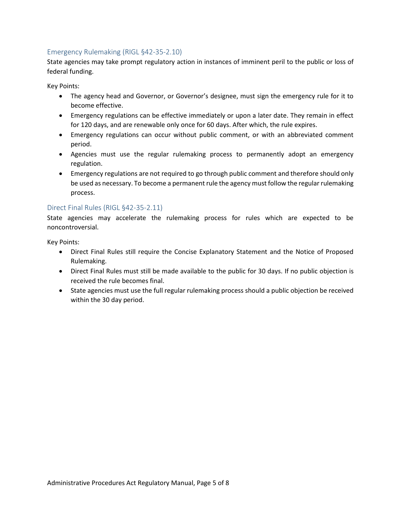### <span id="page-5-0"></span>Emergency Rulemaking (RIGL §42-35-2.10)

State agencies may take prompt regulatory action in instances of imminent peril to the public or loss of federal funding.

Key Points:

- The agency head and Governor, or Governor's designee, must sign the emergency rule for it to become effective.
- Emergency regulations can be effective immediately or upon a later date. They remain in effect for 120 days, and are renewable only once for 60 days. After which, the rule expires.
- Emergency regulations can occur without public comment, or with an abbreviated comment period.
- Agencies must use the regular rulemaking process to permanently adopt an emergency regulation.
- Emergency regulations are not required to go through public comment and therefore should only be used as necessary. To become a permanent rule the agency must follow the regular rulemaking process.

#### <span id="page-5-1"></span>Direct Final Rules (RIGL §42-35-2.11)

State agencies may accelerate the rulemaking process for rules which are expected to be noncontroversial.

Key Points:

- Direct Final Rules still require the Concise Explanatory Statement and the Notice of Proposed Rulemaking.
- Direct Final Rules must still be made available to the public for 30 days. If no public objection is received the rule becomes final.
- State agencies must use the full regular rulemaking process should a public objection be received within the 30 day period.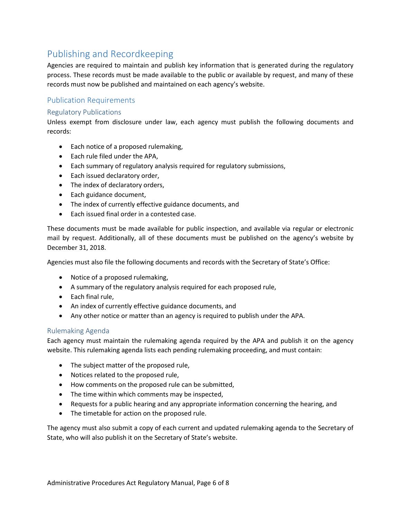### <span id="page-6-0"></span>Publishing and Recordkeeping

Agencies are required to maintain and publish key information that is generated during the regulatory process. These records must be made available to the public or available by request, and many of these records must now be published and maintained on each agency's website.

### <span id="page-6-1"></span>Publication Requirements

### <span id="page-6-2"></span>Regulatory Publications

Unless exempt from disclosure under law, each agency must publish the following documents and records:

- Each notice of a proposed rulemaking,
- Each rule filed under the APA,
- Each summary of regulatory analysis required for regulatory submissions,
- Each issued declaratory order,
- The index of declaratory orders,
- Each guidance document,
- The index of currently effective guidance documents, and
- Each issued final order in a contested case.

These documents must be made available for public inspection, and available via regular or electronic mail by request. Additionally, all of these documents must be published on the agency's website by December 31, 2018.

Agencies must also file the following documents and records with the Secretary of State's Office:

- Notice of a proposed rulemaking,
- A summary of the regulatory analysis required for each proposed rule,
- Each final rule,
- An index of currently effective guidance documents, and
- Any other notice or matter than an agency is required to publish under the APA.

#### <span id="page-6-3"></span>Rulemaking Agenda

Each agency must maintain the rulemaking agenda required by the APA and publish it on the agency website. This rulemaking agenda lists each pending rulemaking proceeding, and must contain:

- The subject matter of the proposed rule,
- Notices related to the proposed rule,
- How comments on the proposed rule can be submitted,
- The time within which comments may be inspected,
- Requests for a public hearing and any appropriate information concerning the hearing, and
- The timetable for action on the proposed rule.

The agency must also submit a copy of each current and updated rulemaking agenda to the Secretary of State, who will also publish it on the Secretary of State's website.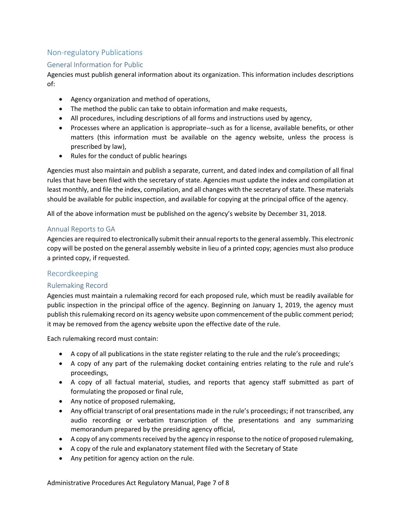### <span id="page-7-0"></span>Non-regulatory Publications

### <span id="page-7-1"></span>General Information for Public

Agencies must publish general information about its organization. This information includes descriptions of:

- Agency organization and method of operations,
- The method the public can take to obtain information and make requests,
- All procedures, including descriptions of all forms and instructions used by agency,
- Processes where an application is appropriate--such as for a license, available benefits, or other matters (this information must be available on the agency website, unless the process is prescribed by law),
- Rules for the conduct of public hearings

Agencies must also maintain and publish a separate, current, and dated index and compilation of all final rules that have been filed with the secretary of state. Agencies must update the index and compilation at least monthly, and file the index, compilation, and all changes with the secretary of state. These materials should be available for public inspection, and available for copying at the principal office of the agency.

All of the above information must be published on the agency's website by December 31, 2018.

### <span id="page-7-2"></span>Annual Reports to GA

Agencies are required to electronically submit their annual reports to the general assembly. This electronic copy will be posted on the general assembly website in lieu of a printed copy; agencies must also produce a printed copy, if requested.

### <span id="page-7-3"></span>Recordkeeping

### <span id="page-7-4"></span>Rulemaking Record

Agencies must maintain a rulemaking record for each proposed rule, which must be readily available for public inspection in the principal office of the agency. Beginning on January 1, 2019, the agency must publish this rulemaking record on its agency website upon commencement of the public comment period; it may be removed from the agency website upon the effective date of the rule.

Each rulemaking record must contain:

- A copy of all publications in the state register relating to the rule and the rule's proceedings;
- A copy of any part of the rulemaking docket containing entries relating to the rule and rule's proceedings,
- A copy of all factual material, studies, and reports that agency staff submitted as part of formulating the proposed or final rule,
- Any notice of proposed rulemaking,
- Any official transcript of oral presentations made in the rule's proceedings; if not transcribed, any audio recording or verbatim transcription of the presentations and any summarizing memorandum prepared by the presiding agency official,
- A copy of any comments received by the agency in response to the notice of proposed rulemaking,
- A copy of the rule and explanatory statement filed with the Secretary of State
- Any petition for agency action on the rule.

Administrative Procedures Act Regulatory Manual, Page 7 of 8